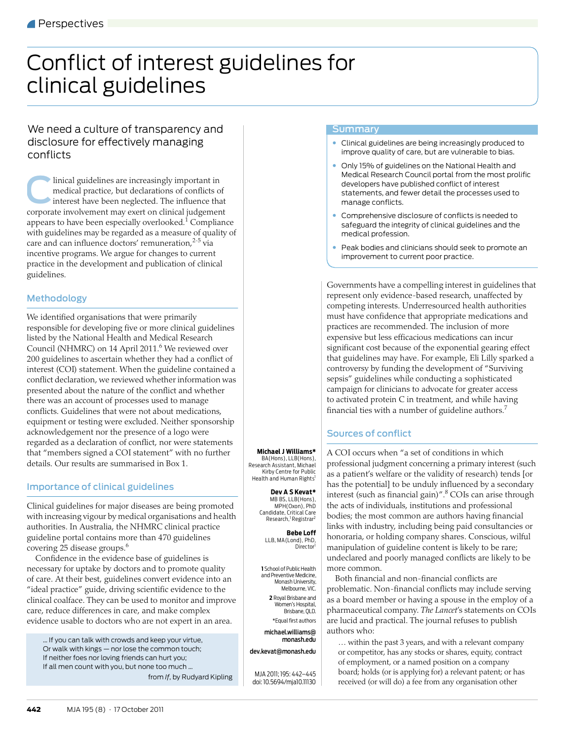# <span id="page-0-0"></span>Conflict of interest guidelines for clinical guidelines

# We need a culture of transparency and disclosure for effectively managing conflicts

linical guidelines are increasingly important in medical practice, but declarations of conflicts of interest have been neglected. The influence that corporate involvement may exert on clinical judgement appears to have been especially overlooked. $^1$  $^1$  Compliance with guidelines may be regarded as a measure of quality of care and can influence doctors' remuneration,<sup>[2-](#page-3-1)5</sup> via incentive programs. We argue for changes to current practice in the development and publication of clinical guidelines. C

# Methodology

equipment or testing were excluded. Neither sponsorship acknowledgement nor the presence of a logo were  $^{\circ}$ regarded as a declaration of conflict, nor were statements that "members signed a COI statement" with no further We identified organisations that were primarily responsible for developing five or more clinical guidelines listed by the National Health and Medical Research Council (NHMRC) on 14 April 2011.<sup>[6](#page-3-3)</sup> We reviewed over 200 guidelines to ascertain whether they had a conflict of interest (COI) statement. When the guideline contained a conflict declaration, we reviewed whether information was presented about the nature of the conflict and whether there was an account of processes used to manage conflicts. Guidelines that were not about medications, details. Our results are summarised in [Box 1.](#page-1-0)

# Importance of clinical guidelines

Clinical guidelines for major diseases are being promoted with increasing vigour by medical organisations and health authorities. In Australia, the NHMRC clinical practice guideline portal contains more than 470 guidelines covering 25 disease groups[.6](#page-3-3)

Confidence in the evidence base of guidelines is necessary for uptake by doctors and to promote quality of care. At their best, guidelines convert evidence into an "ideal practice" guide, driving scientific evidence to the clinical coalface. They can be used to monitor and improve care, reduce differences in care, and make complex evidence usable to doctors who are not expert in an area.

… If you can talk with crowds and keep your virtue, Or walk with kings — nor lose the common touch; If neither foes nor loving friends can hurt you; If all men count with you, but none too much … from *If*, by Rudyard Kipling

## Summary

- Clinical guidelines are being increasingly produced to improve quality of care, but are vulnerable to bias.
- Only 15% of guidelines on the National Health and Medical Research Council portal from the most prolific developers have published conflict of interest statements, and fewer detail the processes used to manage conflicts.
- Comprehensive disclosure of conflicts is needed to safeguard the integrity of clinical guidelines and the medical profession.
- Peak bodies and clinicians should seek to promote an improvement to current poor practice.

Governments have a compelling interest in guidelines that represent only evidence-based research, unaffected by competing interests. Underresourced health authorities must have confidence that appropriate medications and practices are recommended. The inclusion of more expensive but less efficacious medications can incur significant cost because of the exponential gearing effect that guidelines may have. For example, Eli Lilly sparked a controversy by funding the development of "Surviving sepsis" guidelines while conducting a sophisticated campaign for clinicians to advocate for greater access to activated protein C in treatment, and while having financial ties with a number of guideline authors.<sup>7</sup>

# Sources of conflict

A COI occurs when "a set of conditions in which professional judgment concerning a primary interest (such as a patient's welfare or the validity of research) tends [or has the potential] to be unduly influenced by a secondary interest (such as financial gain)".<sup>8</sup> COIs can arise through the acts of individuals, institutions and professional bodies; the most common are authors having financial links with industry, including being paid consultancies or honoraria, or holding company shares. Conscious, wilful manipulation of guideline content is likely to be rare; undeclared and poorly managed conflicts are likely to be more common.

Both financial and non-financial conflicts are problematic. Non-financial conflicts may include serving as a board member or having a spouse in the employ of a pharmaceutical company. *The Lancet*'s statements on COIs are lucid and practical. The journal refuses to publish authors who:

… within the past 3 years, and with a relevant company or competitor, has any stocks or shares, equity, contract of employment, or a named position on a company board; holds (or is applying for) a relevant patent; or has received (or will do) a fee from any organisation other

**Michael J Williams\*** BA(Hons), LLB(Hons), Research Assistant, Michael

Kirby Centre for Public Health and Human Rights<sup>1</sup>

> **Dev A S Kevat\*** MB BS, LLB(Hons), MPH(Oxon), PhD Candidate, Critical Care Research,<sup>1</sup> Registrar<sup>2</sup>

**Bebe Loff** LLB, MA(Lond), PhD, Director

**1** School of Public Health and Preventive Medicine, Monash University, Melbourne, VIC. **2** Royal Brisbane and Women's Hospital, Brisbane, QLD. \*Equal first authors michael.williams@

monash.edu dev.kevat@monash.edu

MJA 2011; 195: 442–445 doi: 10.5694/mja10.11130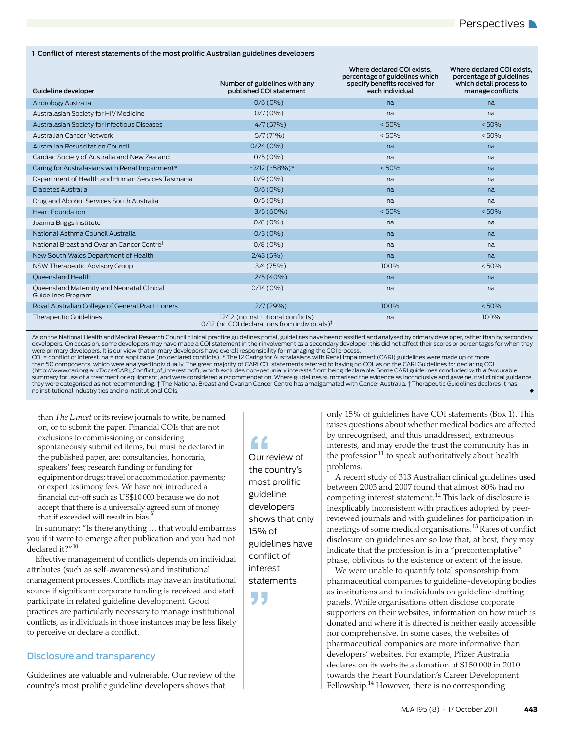### <span id="page-1-0"></span>1 Conflict of interest statements of the most prolific Australian guidelines developers

| Guideline developer                                              | Number of guidelines with any<br>published COI statement                                          | Where declared COI exists.<br>percentage of guidelines which<br>specify benefits received for<br>each individual | Where declared COI exists.<br>percentage of guidelines<br>which detail process to<br>manage conflicts |
|------------------------------------------------------------------|---------------------------------------------------------------------------------------------------|------------------------------------------------------------------------------------------------------------------|-------------------------------------------------------------------------------------------------------|
| Andrology Australia                                              | $0/6(0\%)$                                                                                        | na                                                                                                               | na                                                                                                    |
| Australasian Society for HIV Medicine                            | 0/7(0%                                                                                            | na                                                                                                               | na                                                                                                    |
| Australasian Society for Infectious Diseases                     | 4/7(57%)                                                                                          | < 50%                                                                                                            | < 50%                                                                                                 |
| Australian Cancer Network                                        | $5/7(71\%)$                                                                                       | < 50%                                                                                                            | < 50%                                                                                                 |
| <b>Australian Resuscitation Council</b>                          | 0/24(0%)                                                                                          | na                                                                                                               | na                                                                                                    |
| Cardiac Society of Australia and New Zealand                     | $0/5(0\%)$                                                                                        | na                                                                                                               | na                                                                                                    |
| Caring for Australasians with Renal Impairment*                  | $~7/12$ ( $~58\%$ )*                                                                              | < 50%                                                                                                            | na                                                                                                    |
| Department of Health and Human Services Tasmania                 | $0/9(0\%)$                                                                                        | na                                                                                                               | na                                                                                                    |
| Diabetes Australia                                               | $0/6(0\%)$                                                                                        | na                                                                                                               | na                                                                                                    |
| Drug and Alcohol Services South Australia                        | $0/5(0\%)$                                                                                        | na                                                                                                               | na                                                                                                    |
| <b>Heart Foundation</b>                                          | 3/5(60%)                                                                                          | < 50%                                                                                                            | < 50%                                                                                                 |
| Joanna Briggs Institute                                          | $0/8(0\%)$                                                                                        | na                                                                                                               | na                                                                                                    |
| National Asthma Council Australia                                | $0/3(0\%)$                                                                                        | na                                                                                                               | na                                                                                                    |
| National Breast and Ovarian Cancer Centre <sup>t</sup>           | $0/8(0\%)$                                                                                        | na                                                                                                               | na                                                                                                    |
| New South Wales Department of Health                             | 2/43(5%)                                                                                          | na                                                                                                               | na                                                                                                    |
| NSW Therapeutic Advisory Group                                   | 3/4 (75%)                                                                                         | 100%                                                                                                             | < 50%                                                                                                 |
| Oueensland Health                                                | $2/5(40\%)$                                                                                       | na                                                                                                               | na                                                                                                    |
| Queensland Maternity and Neonatal Clinical<br>Guidelines Program | 0/14(0%)                                                                                          | na                                                                                                               | na                                                                                                    |
| Royal Australian College of General Practitioners                | 2/7(29%)                                                                                          | 100%                                                                                                             | < 50%                                                                                                 |
| Therapeutic Guidelines                                           | 12/12 (no institutional conflicts)<br>$0/12$ (no COI declarations from individuals) $\frac{1}{2}$ | na                                                                                                               | 100%                                                                                                  |

As on the National Health and Medical Research Council clinical practice guidelines portal, guidelines have been classified and analysed by primary developer, rather than by secondary developers. On occasion, some developers may have made a COI statement in their involvement as a secondary developer; this did not affect their scores or percentages for when they<br>were primary developers. It is our view th

than 50 components, which were analysed individually. The great majority of CARI COI statements referred to having no COI, as on the CARI Guidelines for declaring COI (http://www.cari.org.au/Docs/CARI\_Conflict\_of\_interest.pdf), which excludes non-pecuniary interests from being declarable. Some CARI guidelines concluded with a favourable<br>summary for use of a treatment or equipment, and w they were categorised as not recommending. † The National Breast and Ovarian Cancer Centre has amalgamated with Cancer Australia. ‡ Therapeutic Guidelines declares it has no institutional industry ties and no institutional COIs. ◆

than *The Lancet* or its review journals to write, be named on, or to submit the paper. Financial COIs that are not exclusions to commissioning or considering spontaneously submitted items, but must be declared in the published paper, are: consultancies, honoraria, speakers' fees; research funding or funding for equipment or drugs; travel or accommodation payments; or expert testimony fees. We have not introduced a financial cut-off such as US\$10 000 because we do not accept that there is a universally agreed sum of money that if exceeded will result in bias.

In summary: "Is there anything … that would embarrass you if it were to emerge after publication and you had not declared it?"<sup>[10](#page-3-8)</sup>

Effective management of conflicts depends on individual attributes (such as self-awareness) and institutional management processes. Conflicts may have an institutional source if significant corporate funding is received and staff participate in related guideline development. Good practices are particularly necessary to manage institutional conflicts, as individuals in those instances may be less likely to perceive or declare a conflict.

# Disclosure and transparency

Guidelines are valuable and vulnerable. Our review of the country's most prolific guideline developers shows that

f<br>Our review of<br>the country's Our review of most prolific guideline developers shows that only 15% of guidelines have conflict of interest statements

**"** 

only 15% of guidelines have COI statements [\(Box 1\)](#page-1-0). This raises questions about whether medical bodies are affected by unrecognised, and thus unaddressed, extraneous interests, and may erode the trust the community has in the profession $^{11}$  to speak authoritatively about health problems.

A recent study of 313 Australian clinical guidelines used between 2003 and 2007 found that almost 80% had no competing interest statement[.12](#page-3-10) This lack of disclosure is inexplicably inconsistent with practices adopted by peerreviewed journals and with guidelines for participation in meetings of some medical organisations.[13](#page-3-11) Rates of conflict disclosure on guidelines are so low that, at best, they may indicate that the profession is in a "precontemplative" phase, oblivious to the existence or extent of the issue.

We were unable to quantify total sponsorship from pharmaceutical companies to guideline-developing bodies as institutions and to individuals on guideline-drafting panels. While organisations often disclose corporate supporters on their websites, information on how much is donated and where it is directed is neither easily accessible nor comprehensive. In some cases, the websites of pharmaceutical companies are more informative than developers' websites. For example, Pfizer Australia declares on its website a donation of \$150 000 in 2010 towards the Heart Foundation's Career Development Fellowship.[14](#page-3-12) However, there is no corresponding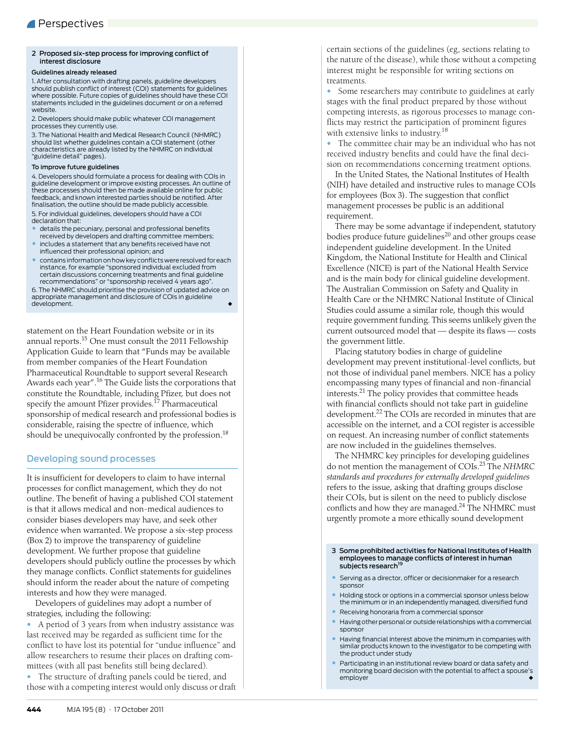#### <span id="page-2-0"></span>2 Proposed six-step process for improving conflict of interest disclosure

#### Guidelines already released

1. After consultation with drafting panels, guideline developers should publish conflict of interest (COI) statements for guidelines where possible. Future copies of guidelines should have these COI statements included in the guidelines document or on a referred website.

2. Developers should make public whatever COI management processes they currently use.

3. The National Health and Medical Research Council (NHMRC) should list whether guidelines contain a COI statement (other characteristics are already listed by the NHMRC on individual "guideline detail" pages).

#### To improve future guidelines

4. Developers should formulate a process for dealing with COIs in guideline development or improve existing processes. An outline of these processes should then be made available online for public feedback, and known interested parties should be notified. After finalisation, the outline should be made publicly accessible.

5. For individual guidelines, developers should have a COI declaration that:

- details the pecuniary, personal and professional benefits received by developers and drafting committee members; • includes a statement that any benefits received have not
- influenced their professional opinion; and
- contains information on how key conflicts were resolved for each instance, for example "sponsored individual excluded from certain discussions concerning treatments and final guideline recommendations" or "sponsorship received 4 years ago".

6. The NHMRC should prioritise the provision of updated advice on appropriate management and disclosure of COIs in guideline development.

statement on the Heart Foundation website or in its annual reports.<sup>[15](#page-3-13)</sup> One must consult the 2011 Fellowship Application Guide to learn that "Funds may be available from member companies of the Heart Foundation Pharmaceutical Roundtable to support several Research Awards each year".<sup>[16](#page-3-14)</sup> The Guide lists the corporations that constitute the Roundtable, including Pfizer, but does not specify the amount Pfizer provides.<sup>17</sup> Pharmaceutical sponsorship of medical research and professional bodies is considerable, raising the spectre of influence, which should be unequivocally confronted by the profession.<sup>18</sup>

# Developing sound processes

It is insufficient for developers to claim to have internal processes for conflict management, which they do not outline. The benefit of having a published COI statement is that it allows medical and non-medical audiences to consider biases developers may have, and seek other evidence when warranted. We propose a six-step process [\(Box 2](#page-2-0)) to improve the transparency of guideline development. We further propose that guideline developers should publicly outline the processes by which they manage conflicts. Conflict statements for guidelines should inform the reader about the nature of competing interests and how they were managed.

Developers of guidelines may adopt a number of strategies, including the following:

• A period of 3 years from when industry assistance was last received may be regarded as sufficient time for the conflict to have lost its potential for "undue influence" and allow researchers to resume their places on drafting committees (with all past benefits still being declared).

• The structure of drafting panels could be tiered, and those with a competing interest would only discuss or draft certain sections of the guidelines (eg, sections relating to the nature of the disease), while those without a competing interest might be responsible for writing sections on treatments.

• Some researchers may contribute to guidelines at early stages with the final product prepared by those without competing interests, as rigorous processes to manage conflicts may restrict the participation of prominent figures with extensive links to industry.<sup>[18](#page-3-16)</sup>

• The committee chair may be an individual who has not received industry benefits and could have the final decision on recommendations concerning treatment options.

In the United States, the National Institutes of Health (NIH) have detailed and instructive rules to manage COIs for employees [\(Box 3\)](#page-2-1). The suggestion that conflict management processes be public is an additional requirement.

There may be some advantage if independent, statutory bodies produce future guidelines<sup>20</sup> and other groups cease independent guideline development. In the United Kingdom, the National Institute for Health and Clinical Excellence (NICE) is part of the National Health Service and is the main body for clinical guideline development. The Australian Commission on Safety and Quality in Health Care or the NHMRC National Institute of Clinical Studies could assume a similar role, though this would require government funding. This seems unlikely given the current outsourced model that — despite its flaws — costs the government little.

Placing statutory bodies in charge of guideline development may prevent institutional-level conflicts, but not those of individual panel members. NICE has a policy encompassing many types of financial and non-financial interests.[21](#page-3-18) The policy provides that committee heads with financial conflicts should not take part in guideline development[.22](#page-3-19) The COIs are recorded in minutes that are accessible on the internet, and a COI register is accessible on request. An increasing number of conflict statements are now included in the guidelines themselves.

The NHMRC key principles for developing guidelines do not mention the management of COIs[.23](#page-3-21) The *NHMRC standards and procedures for externally developed guidelines* refers to the issue, asking that drafting groups disclose their COIs, but is silent on the need to publicly disclose conflicts and how they are managed. $^{24}$  $^{24}$  $^{24}$  The NHMRC must urgently promote a more ethically sound development

# <span id="page-2-1"></span>3 Some prohibited activities for National Institutes of Health employees to manage conflicts of interest in human<br>subjects research<sup>19</sup>

- Serving as a director, officer or decisionmaker for a research sponsor
- Holding stock or options in a commercial sponsor unless below the minimum or in an independently managed, diversified fund
- Receiving honoraria from a commercial sponsor
- Having other personal or outside relationships with a commercial sponsor
- Having financial interest above the minimum in companies with similar products known to the investigator to be competing with the product under study
- Participating in an institutional review board or data safety and monitoring board decision with the potential to affect a spouse's employer